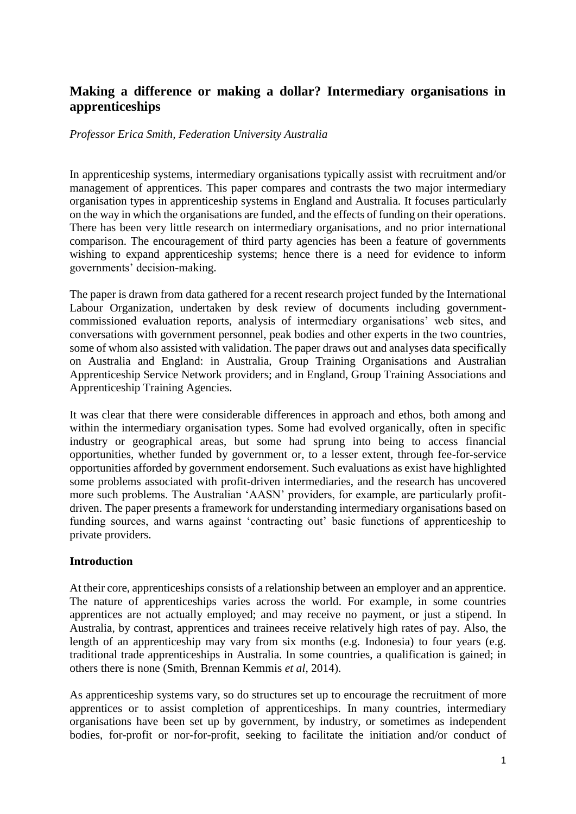# **Making a difference or making a dollar? Intermediary organisations in apprenticeships**

### *Professor Erica Smith, Federation University Australia*

In apprenticeship systems, intermediary organisations typically assist with recruitment and/or management of apprentices. This paper compares and contrasts the two major intermediary organisation types in apprenticeship systems in England and Australia. It focuses particularly on the way in which the organisations are funded, and the effects of funding on their operations. There has been very little research on intermediary organisations, and no prior international comparison. The encouragement of third party agencies has been a feature of governments wishing to expand apprenticeship systems; hence there is a need for evidence to inform governments' decision-making.

The paper is drawn from data gathered for a recent research project funded by the International Labour Organization, undertaken by desk review of documents including governmentcommissioned evaluation reports, analysis of intermediary organisations' web sites, and conversations with government personnel, peak bodies and other experts in the two countries, some of whom also assisted with validation. The paper draws out and analyses data specifically on Australia and England: in Australia, Group Training Organisations and Australian Apprenticeship Service Network providers; and in England, Group Training Associations and Apprenticeship Training Agencies.

It was clear that there were considerable differences in approach and ethos, both among and within the intermediary organisation types. Some had evolved organically, often in specific industry or geographical areas, but some had sprung into being to access financial opportunities, whether funded by government or, to a lesser extent, through fee-for-service opportunities afforded by government endorsement. Such evaluations as exist have highlighted some problems associated with profit-driven intermediaries, and the research has uncovered more such problems. The Australian 'AASN' providers, for example, are particularly profitdriven. The paper presents a framework for understanding intermediary organisations based on funding sources, and warns against 'contracting out' basic functions of apprenticeship to private providers.

### **Introduction**

At their core, apprenticeships consists of a relationship between an employer and an apprentice. The nature of apprenticeships varies across the world. For example, in some countries apprentices are not actually employed; and may receive no payment, or just a stipend. In Australia, by contrast, apprentices and trainees receive relatively high rates of pay. Also, the length of an apprenticeship may vary from six months (e.g. Indonesia) to four years (e.g. traditional trade apprenticeships in Australia. In some countries, a qualification is gained; in others there is none (Smith, Brennan Kemmis *et al*, 2014).

As apprenticeship systems vary, so do structures set up to encourage the recruitment of more apprentices or to assist completion of apprenticeships. In many countries, intermediary organisations have been set up by government, by industry, or sometimes as independent bodies, for-profit or nor-for-profit, seeking to facilitate the initiation and/or conduct of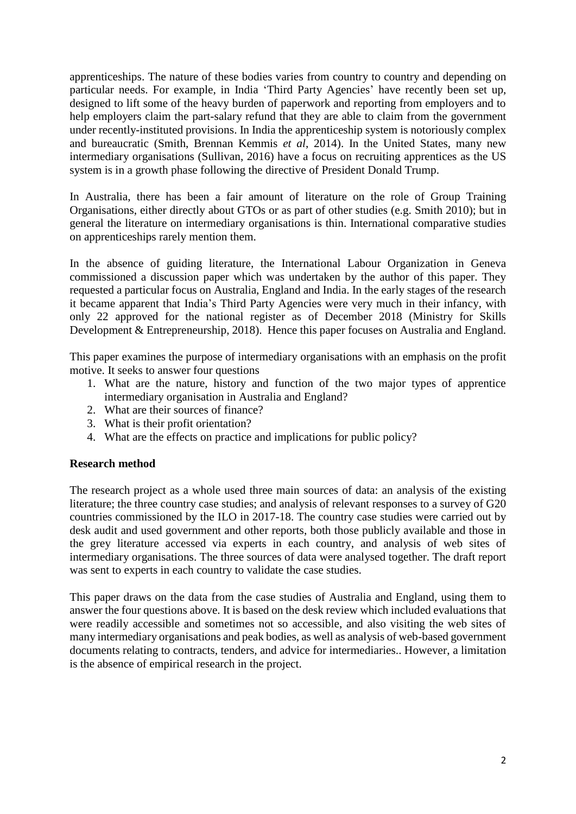apprenticeships. The nature of these bodies varies from country to country and depending on particular needs. For example, in India 'Third Party Agencies' have recently been set up, designed to lift some of the heavy burden of paperwork and reporting from employers and to help employers claim the part-salary refund that they are able to claim from the government under recently-instituted provisions. In India the apprenticeship system is notoriously complex and bureaucratic (Smith, Brennan Kemmis *et al*, 2014). In the United States, many new intermediary organisations (Sullivan, 2016) have a focus on recruiting apprentices as the US system is in a growth phase following the directive of President Donald Trump.

In Australia, there has been a fair amount of literature on the role of Group Training Organisations, either directly about GTOs or as part of other studies (e.g. Smith 2010); but in general the literature on intermediary organisations is thin. International comparative studies on apprenticeships rarely mention them.

In the absence of guiding literature, the International Labour Organization in Geneva commissioned a discussion paper which was undertaken by the author of this paper. They requested a particular focus on Australia, England and India. In the early stages of the research it became apparent that India's Third Party Agencies were very much in their infancy, with only 22 approved for the national register as of December 2018 (Ministry for Skills Development & Entrepreneurship, 2018). Hence this paper focuses on Australia and England.

This paper examines the purpose of intermediary organisations with an emphasis on the profit motive. It seeks to answer four questions

- 1. What are the nature, history and function of the two major types of apprentice intermediary organisation in Australia and England?
- 2. What are their sources of finance?
- 3. What is their profit orientation?
- 4. What are the effects on practice and implications for public policy?

### **Research method**

The research project as a whole used three main sources of data: an analysis of the existing literature; the three country case studies; and analysis of relevant responses to a survey of G20 countries commissioned by the ILO in 2017-18. The country case studies were carried out by desk audit and used government and other reports, both those publicly available and those in the grey literature accessed via experts in each country, and analysis of web sites of intermediary organisations. The three sources of data were analysed together. The draft report was sent to experts in each country to validate the case studies.

This paper draws on the data from the case studies of Australia and England, using them to answer the four questions above. It is based on the desk review which included evaluations that were readily accessible and sometimes not so accessible, and also visiting the web sites of many intermediary organisations and peak bodies, as well as analysis of web-based government documents relating to contracts, tenders, and advice for intermediaries.. However, a limitation is the absence of empirical research in the project.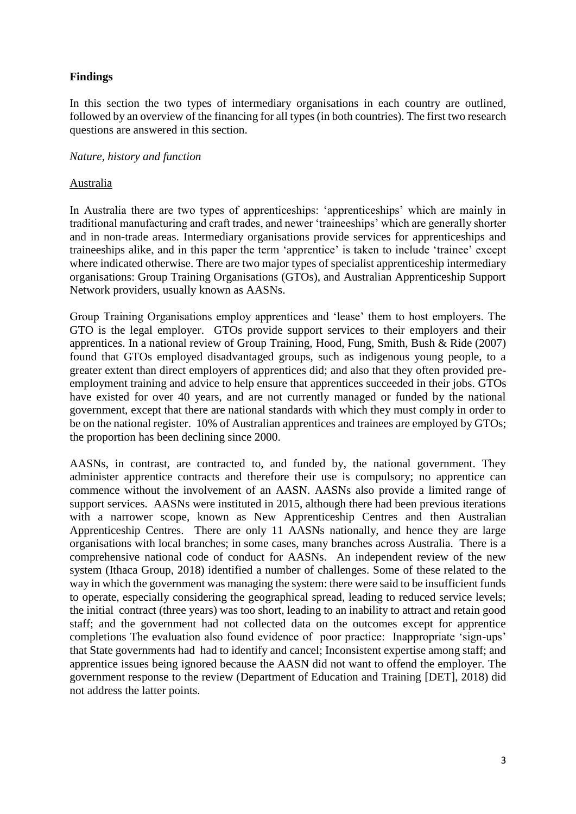# **Findings**

In this section the two types of intermediary organisations in each country are outlined, followed by an overview of the financing for all types (in both countries). The first two research questions are answered in this section.

### *Nature, history and function*

### Australia

In Australia there are two types of apprenticeships: 'apprenticeships' which are mainly in traditional manufacturing and craft trades, and newer 'traineeships' which are generally shorter and in non-trade areas. Intermediary organisations provide services for apprenticeships and traineeships alike, and in this paper the term 'apprentice' is taken to include 'trainee' except where indicated otherwise. There are two major types of specialist apprenticeship intermediary organisations: Group Training Organisations (GTOs), and Australian Apprenticeship Support Network providers, usually known as AASNs.

Group Training Organisations employ apprentices and 'lease' them to host employers. The GTO is the legal employer. GTOs provide support services to their employers and their apprentices. In a national review of Group Training, Hood, Fung, Smith, Bush & Ride (2007) found that GTOs employed disadvantaged groups, such as indigenous young people, to a greater extent than direct employers of apprentices did; and also that they often provided preemployment training and advice to help ensure that apprentices succeeded in their jobs. GTOs have existed for over 40 years, and are not currently managed or funded by the national government, except that there are national standards with which they must comply in order to be on the national register. 10% of Australian apprentices and trainees are employed by GTOs; the proportion has been declining since 2000.

AASNs, in contrast, are contracted to, and funded by, the national government. They administer apprentice contracts and therefore their use is compulsory; no apprentice can commence without the involvement of an AASN. AASNs also provide a limited range of support services. AASNs were instituted in 2015, although there had been previous iterations with a narrower scope, known as New Apprenticeship Centres and then Australian Apprenticeship Centres. There are only 11 AASNs nationally, and hence they are large organisations with local branches; in some cases, many branches across Australia. There is a comprehensive national code of conduct for AASNs. An independent review of the new system (Ithaca Group, 2018) identified a number of challenges. Some of these related to the way in which the government was managing the system: there were said to be insufficient funds to operate, especially considering the geographical spread, leading to reduced service levels; the initial contract (three years) was too short, leading to an inability to attract and retain good staff; and the government had not collected data on the outcomes except for apprentice completions The evaluation also found evidence of poor practice: Inappropriate 'sign-ups' that State governments had had to identify and cancel; Inconsistent expertise among staff; and apprentice issues being ignored because the AASN did not want to offend the employer. The government response to the review (Department of Education and Training [DET], 2018) did not address the latter points.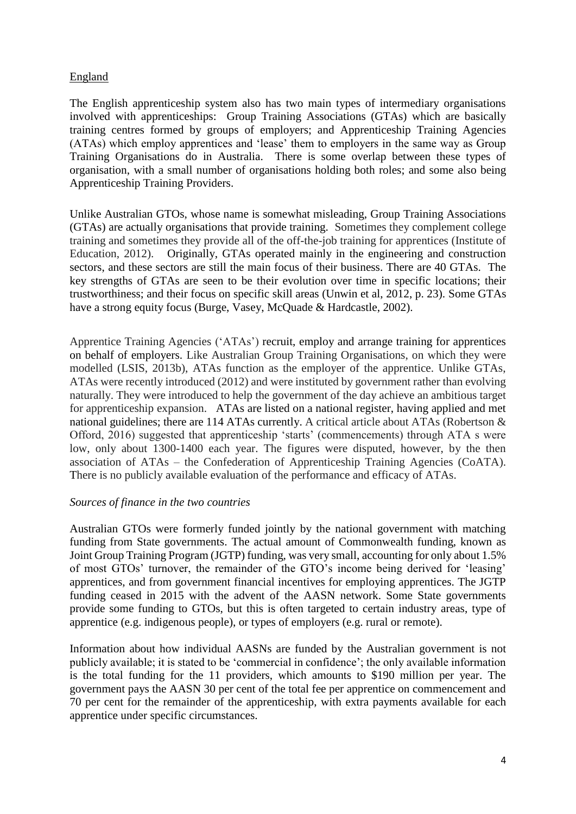## England

The English apprenticeship system also has two main types of intermediary organisations involved with apprenticeships: Group Training Associations (GTAs) which are basically training centres formed by groups of employers; and Apprenticeship Training Agencies (ATAs) which employ apprentices and 'lease' them to employers in the same way as Group Training Organisations do in Australia. There is some overlap between these types of organisation, with a small number of organisations holding both roles; and some also being Apprenticeship Training Providers.

Unlike Australian GTOs, whose name is somewhat misleading, Group Training Associations (GTAs) are actually organisations that provide training. Sometimes they complement college training and sometimes they provide all of the off-the-job training for apprentices (Institute of Education, 2012). Originally, GTAs operated mainly in the engineering and construction sectors, and these sectors are still the main focus of their business. There are 40 GTAs. The key strengths of GTAs are seen to be their evolution over time in specific locations; their trustworthiness; and their focus on specific skill areas (Unwin et al, 2012, p. 23). Some GTAs have a strong equity focus (Burge, Vasey, McQuade & Hardcastle, 2002).

Apprentice Training Agencies ('ATAs') recruit, employ and arrange training for apprentices on behalf of employers. Like Australian Group Training Organisations, on which they were modelled (LSIS, 2013b), ATAs function as the employer of the apprentice. Unlike GTAs, ATAs were recently introduced (2012) and were instituted by government rather than evolving naturally. They were introduced to help the government of the day achieve an ambitious target for apprenticeship expansion. ATAs are listed on a national register, having applied and met national guidelines; there are 114 ATAs currently. A critical article about ATAs (Robertson & Offord, 2016) suggested that apprenticeship 'starts' (commencements) through ATA s were low, only about 1300-1400 each year. The figures were disputed, however, by the then association of ATAs – the Confederation of Apprenticeship Training Agencies (CoATA). There is no publicly available evaluation of the performance and efficacy of ATAs.

### *Sources of finance in the two countries*

Australian GTOs were formerly funded jointly by the national government with matching funding from State governments. The actual amount of Commonwealth funding, known as Joint Group Training Program (JGTP) funding, was very small, accounting for only about 1.5% of most GTOs' turnover, the remainder of the GTO's income being derived for 'leasing' apprentices, and from government financial incentives for employing apprentices. The JGTP funding ceased in 2015 with the advent of the AASN network. Some State governments provide some funding to GTOs, but this is often targeted to certain industry areas, type of apprentice (e.g. indigenous people), or types of employers (e.g. rural or remote).

Information about how individual AASNs are funded by the Australian government is not publicly available; it is stated to be 'commercial in confidence'; the only available information is the total funding for the 11 providers, which amounts to \$190 million per year. The government pays the AASN 30 per cent of the total fee per apprentice on commencement and 70 per cent for the remainder of the apprenticeship, with extra payments available for each apprentice under specific circumstances.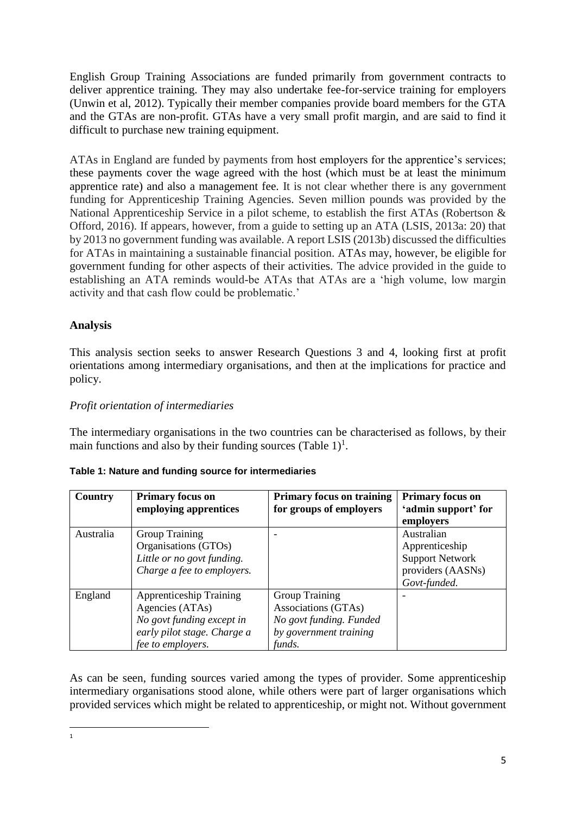English Group Training Associations are funded primarily from government contracts to deliver apprentice training. They may also undertake fee-for-service training for employers (Unwin et al, 2012). Typically their member companies provide board members for the GTA and the GTAs are non-profit. GTAs have a very small profit margin, and are said to find it difficult to purchase new training equipment.

ATAs in England are funded by payments from host employers for the apprentice's services; these payments cover the wage agreed with the host (which must be at least the minimum apprentice rate) and also a management fee. It is not clear whether there is any government funding for Apprenticeship Training Agencies. Seven million pounds was provided by the National Apprenticeship Service in a pilot scheme, to establish the first ATAs (Robertson & Offord, 2016). If appears, however, from a guide to setting up an ATA (LSIS, 2013a: 20) that by 2013 no government funding was available. A report LSIS (2013b) discussed the difficulties for ATAs in maintaining a sustainable financial position. ATAs may, however, be eligible for government funding for other aspects of their activities. The advice provided in the guide to establishing an ATA reminds would-be ATAs that ATAs are a 'high volume, low margin activity and that cash flow could be problematic.'

# **Analysis**

This analysis section seeks to answer Research Questions 3 and 4, looking first at profit orientations among intermediary organisations, and then at the implications for practice and policy.

## *Profit orientation of intermediaries*

The intermediary organisations in the two countries can be characterised as follows, by their main functions and also by their funding sources (Table  $1$ )<sup>1</sup>.

| Country   | <b>Primary focus on</b><br>employing apprentices | <b>Primary focus on training</b><br>for groups of employers | <b>Primary focus on</b><br>'admin support' for |
|-----------|--------------------------------------------------|-------------------------------------------------------------|------------------------------------------------|
|           |                                                  |                                                             | employers                                      |
| Australia | Group Training                                   |                                                             | Australian                                     |
|           | Organisations (GTOs)                             |                                                             | Apprenticeship                                 |
|           | Little or no govt funding.                       |                                                             | <b>Support Network</b>                         |
|           | Charge a fee to employers.                       |                                                             | providers (AASNs)                              |
|           |                                                  |                                                             | Govt-funded.                                   |
| England   | <b>Apprenticeship Training</b>                   | <b>Group Training</b>                                       |                                                |
|           | Agencies (ATAs)                                  | Associations (GTAs)                                         |                                                |
|           | No govt funding except in                        | No govt funding. Funded                                     |                                                |
|           | early pilot stage. Charge a                      | by government training                                      |                                                |
|           | fee to employers.                                | funds.                                                      |                                                |

### **Table 1: Nature and funding source for intermediaries**

As can be seen, funding sources varied among the types of provider. Some apprenticeship intermediary organisations stood alone, while others were part of larger organisations which provided services which might be related to apprenticeship, or might not. Without government

 $\overline{1}$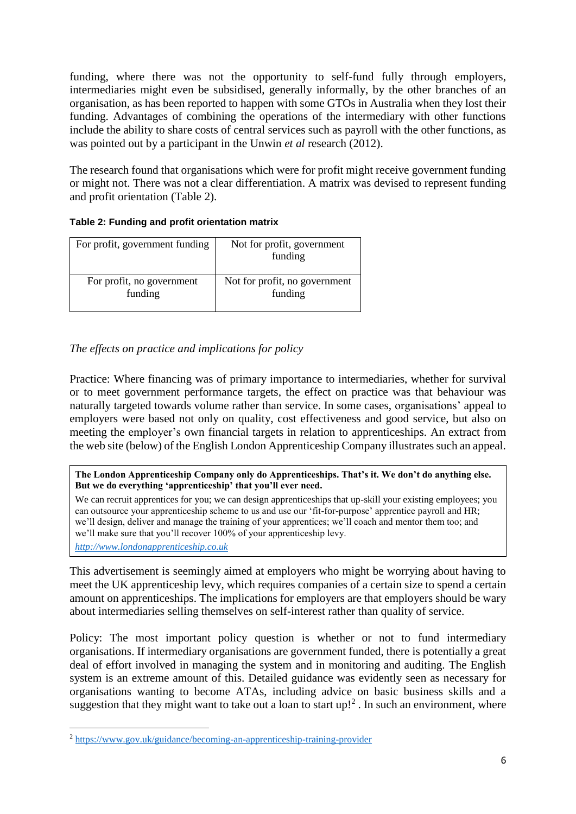funding, where there was not the opportunity to self-fund fully through employers, intermediaries might even be subsidised, generally informally, by the other branches of an organisation, as has been reported to happen with some GTOs in Australia when they lost their funding. Advantages of combining the operations of the intermediary with other functions include the ability to share costs of central services such as payroll with the other functions, as was pointed out by a participant in the Unwin *et al* research (2012).

The research found that organisations which were for profit might receive government funding or might not. There was not a clear differentiation. A matrix was devised to represent funding and profit orientation (Table 2).

### **Table 2: Funding and profit orientation matrix**

| For profit, government funding | Not for profit, government<br>funding |
|--------------------------------|---------------------------------------|
| For profit, no government      | Not for profit, no government         |
| funding                        | funding                               |

# *The effects on practice and implications for policy*

Practice: Where financing was of primary importance to intermediaries, whether for survival or to meet government performance targets, the effect on practice was that behaviour was naturally targeted towards volume rather than service. In some cases, organisations' appeal to employers were based not only on quality, cost effectiveness and good service, but also on meeting the employer's own financial targets in relation to apprenticeships. An extract from the web site (below) of the English London Apprenticeship Company illustrates such an appeal.

#### **The London Apprenticeship Company only do Apprenticeships. That's it. We don't do anything else. But we do everything 'apprenticeship' that you'll ever need.**

We can recruit apprentices for you; we can design apprenticeships that up-skill your existing employees; you can outsource your apprenticeship scheme to us and use our 'fit-for-purpose' apprentice payroll and HR; we'll design, deliver and manage the training of your apprentices; we'll coach and mentor them too; and we'll make sure that you'll recover 100% of your apprenticeship levy.

*[http://www.londonapprenticeship.co.uk](http://www.londonapprenticeship.co.uk/)*

**.** 

This advertisement is seemingly aimed at employers who might be worrying about having to meet the UK apprenticeship levy, which requires companies of a certain size to spend a certain amount on apprenticeships. The implications for employers are that employers should be wary about intermediaries selling themselves on self-interest rather than quality of service.

Policy: The most important policy question is whether or not to fund intermediary organisations. If intermediary organisations are government funded, there is potentially a great deal of effort involved in managing the system and in monitoring and auditing. The English system is an extreme amount of this. Detailed guidance was evidently seen as necessary for organisations wanting to become ATAs, including advice on basic business skills and a suggestion that they might want to take out a loan to start  $up!^2$ . In such an environment, where

<sup>2</sup> <https://www.gov.uk/guidance/becoming-an-apprenticeship-training-provider>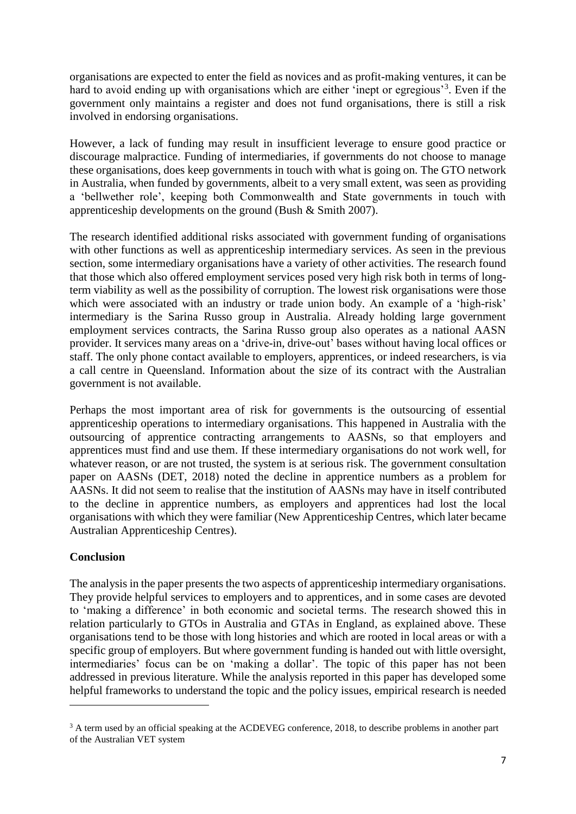organisations are expected to enter the field as novices and as profit-making ventures, it can be hard to avoid ending up with organisations which are either 'inept or egregious'<sup>3</sup>. Even if the government only maintains a register and does not fund organisations, there is still a risk involved in endorsing organisations.

However, a lack of funding may result in insufficient leverage to ensure good practice or discourage malpractice. Funding of intermediaries, if governments do not choose to manage these organisations, does keep governments in touch with what is going on. The GTO network in Australia, when funded by governments, albeit to a very small extent, was seen as providing a 'bellwether role', keeping both Commonwealth and State governments in touch with apprenticeship developments on the ground (Bush & Smith 2007).

The research identified additional risks associated with government funding of organisations with other functions as well as apprenticeship intermediary services. As seen in the previous section, some intermediary organisations have a variety of other activities. The research found that those which also offered employment services posed very high risk both in terms of longterm viability as well as the possibility of corruption. The lowest risk organisations were those which were associated with an industry or trade union body. An example of a 'high-risk' intermediary is the Sarina Russo group in Australia. Already holding large government employment services contracts, the Sarina Russo group also operates as a national AASN provider. It services many areas on a 'drive-in, drive-out' bases without having local offices or staff. The only phone contact available to employers, apprentices, or indeed researchers, is via a call centre in Queensland. Information about the size of its contract with the Australian government is not available.

Perhaps the most important area of risk for governments is the outsourcing of essential apprenticeship operations to intermediary organisations. This happened in Australia with the outsourcing of apprentice contracting arrangements to AASNs, so that employers and apprentices must find and use them. If these intermediary organisations do not work well, for whatever reason, or are not trusted, the system is at serious risk. The government consultation paper on AASNs (DET, 2018) noted the decline in apprentice numbers as a problem for AASNs. It did not seem to realise that the institution of AASNs may have in itself contributed to the decline in apprentice numbers, as employers and apprentices had lost the local organisations with which they were familiar (New Apprenticeship Centres, which later became Australian Apprenticeship Centres).

## **Conclusion**

**.** 

The analysis in the paper presents the two aspects of apprenticeship intermediary organisations. They provide helpful services to employers and to apprentices, and in some cases are devoted to 'making a difference' in both economic and societal terms. The research showed this in relation particularly to GTOs in Australia and GTAs in England, as explained above. These organisations tend to be those with long histories and which are rooted in local areas or with a specific group of employers. But where government funding is handed out with little oversight, intermediaries' focus can be on 'making a dollar'. The topic of this paper has not been addressed in previous literature. While the analysis reported in this paper has developed some helpful frameworks to understand the topic and the policy issues, empirical research is needed

<sup>&</sup>lt;sup>3</sup> A term used by an official speaking at the ACDEVEG conference, 2018, to describe problems in another part of the Australian VET system